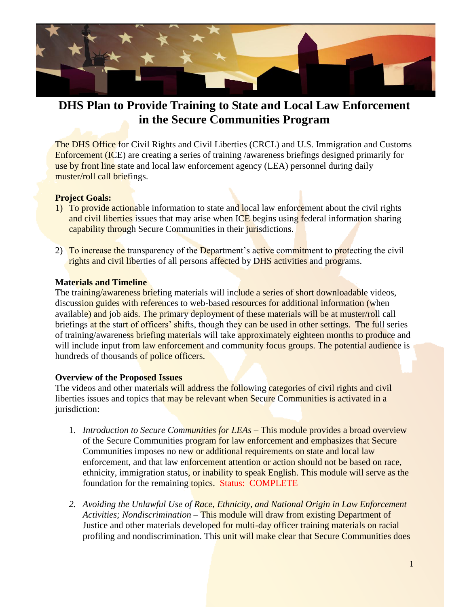

## **DHS Plan to Provide Training to State and Local Law Enforcement in the Secure Communities Program**

The DHS Office for Civil Rights and Civil Liberties (CRCL) and U.S. Immigration and Customs Enforcement (ICE) are creating a series of training /awareness briefings designed primarily for use by front line state and local law enforcement agency (LEA) personnel during daily muster/roll call briefings.

## **Project Goals:**

- 1) To provide actionable information to state and local law enforcement about the civil rights and civil liberties issues that may arise when ICE begins using federal information sharing capability through Secure Communities in their jurisdictions.
- 2) To increase the transparency of the Department's active commitment to protecting the civil rights and civil liberties of all persons affected by DHS activities and programs.

## **Materials and Timeline**

The training/awareness briefing materials will include a series of short downloadable videos, discussion guides with references to web-based resources for additional information (when available) and job aids. The primary deployment of these materials will be at muster/roll call briefings at the start of officers' shifts, though they can be used in other settings. The full series of training/awareness briefing materials will take approximately eighteen months to produce and will include input from law enforcement and community focus groups. The potential audience is hundreds of thousands of police officers.

## **Overview of the Proposed Issues**

The videos and other materials will address the following categories of civil rights and civil liberties issues and topics that may be relevant when Secure Communities is activated in a jurisdiction:

- 1. *Introduction to Secure Communities for LEAs* This module provides a broad overview of the Secure Communities program for law enforcement and emphasizes that Secure Communities imposes no new or additional requirements on state and local law enforcement, and that law enforcement attention or action should not be based on race, ethnicity, immigration status, or inability to speak English. This module will serve as the foundation for the remaining topics. Status: COMPLETE
- *2. Avoiding the Unlawful Use of Race, Ethnicity, and National Origin in Law Enforcement Activities; Nondiscrimination* – This module will draw from existing Department of Justice and other materials developed for multi-day officer training materials on racial profiling and nondiscrimination. This unit will make clear that Secure Communities does